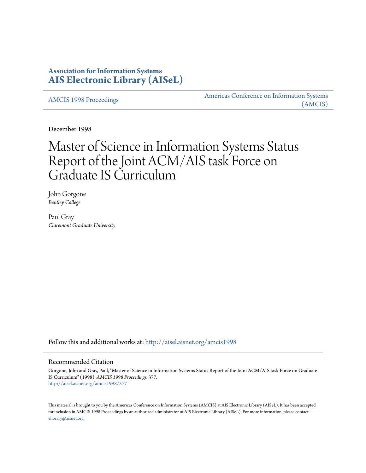## **Association for Information Systems [AIS Electronic Library \(AISeL\)](http://aisel.aisnet.org?utm_source=aisel.aisnet.org%2Famcis1998%2F377&utm_medium=PDF&utm_campaign=PDFCoverPages)**

[AMCIS 1998 Proceedings](http://aisel.aisnet.org/amcis1998?utm_source=aisel.aisnet.org%2Famcis1998%2F377&utm_medium=PDF&utm_campaign=PDFCoverPages)

[Americas Conference on Information Systems](http://aisel.aisnet.org/amcis?utm_source=aisel.aisnet.org%2Famcis1998%2F377&utm_medium=PDF&utm_campaign=PDFCoverPages) [\(AMCIS\)](http://aisel.aisnet.org/amcis?utm_source=aisel.aisnet.org%2Famcis1998%2F377&utm_medium=PDF&utm_campaign=PDFCoverPages)

December 1998

# Master of Science in Information Systems Status Report of the Joint ACM/AIS task Force on Graduate IS Curriculum

John Gorgone *Bentley College*

Paul Gray *Claremont Graduate University*

Follow this and additional works at: [http://aisel.aisnet.org/amcis1998](http://aisel.aisnet.org/amcis1998?utm_source=aisel.aisnet.org%2Famcis1998%2F377&utm_medium=PDF&utm_campaign=PDFCoverPages)

#### Recommended Citation

Gorgone, John and Gray, Paul, "Master of Science in Information Systems Status Report of the Joint ACM/AIS task Force on Graduate IS Curriculum" (1998). *AMCIS 1998 Proceedings*. 377. [http://aisel.aisnet.org/amcis1998/377](http://aisel.aisnet.org/amcis1998/377?utm_source=aisel.aisnet.org%2Famcis1998%2F377&utm_medium=PDF&utm_campaign=PDFCoverPages)

This material is brought to you by the Americas Conference on Information Systems (AMCIS) at AIS Electronic Library (AISeL). It has been accepted for inclusion in AMCIS 1998 Proceedings by an authorized administrator of AIS Electronic Library (AISeL). For more information, please contact [elibrary@aisnet.org.](mailto:elibrary@aisnet.org%3E)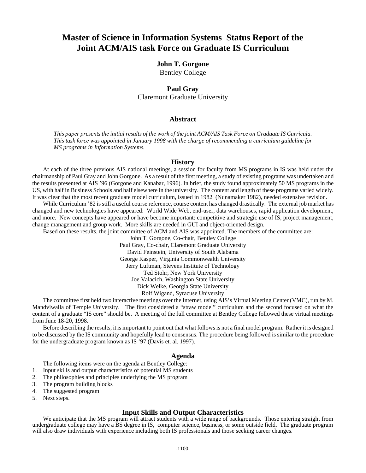# **Master of Science in Information Systems Status Report of the Joint ACM/AIS task Force on Graduate IS Curriculum**

# **John T. Gorgone**

Bentley College

## **Paul Gray** Claremont Graduate University

#### **Abstract**

*This paper presents the initial results of the work of the joint ACM/AIS Task Force on Graduate IS Curricula. This task force was appointed in January 1998 with the charge of recommending a curriculum guideline for MS programs in Information Systems.* 

#### **History**

At each of the three previous AIS national meetings, a session for faculty from MS programs in IS was held under the chairmanship of Paul Gray and John Gorgone. As a result of the first meeting, a study of existing programs was undertaken and the results presented at AIS '96 (Gorgone and Kanabar, 1996). In brief, the study found approximately 50 MS programs in the US, with half in Business Schools and half elsewhere in the university. The content and length of these programs varied widely. It was clear that the most recent graduate model curriculum, issued in 1982 (Nunamaker 1982), needed extensive revision.

While Curriculum '82 is still a useful course reference, course content has changed drastically. The external job market has changed and new technologies have appeared: World Wide Web, end-user, data warehouses, rapid application development, and more. New concepts have appeared or have become important: competitive and strategic use of IS, project management, change management and group work. More skills are needed in GUI and object-oriented design.

Based on these results, the joint committee of ACM and AIS was appointed. The members of the committee are:

John T. Gorgone, Co-chair, Bentley College

Paul Gray, Co-chair, Claremont Graduate University

David Feinstein, University of South Alabama

George Kasper, Virginia Commonwealth University

Jerry Luftman, Stevens Institute of Technology

Ted Stohr, New York University

Joe Valacich, Washington State University

Dick Welke, Georgia State University

Rolf Wigand, Syracuse University

The committee first held two interactive meetings over the Internet, using AIS's Virtual Meeting Center (VMC), run by M. Mandviwalla of Temple University. The first considered a "straw model" curriculum and the second focused on what the content of a graduate "IS core" should be. A meeting of the full committee at Bentley College followed these virtual meetings from June 18-20, 1998.

Before describing the results, it is important to point out that what follows is not a final model program. Rather it is designed to be discussed by the IS community and hopefully lead to consensus. The procedure being followed is similar to the procedure for the undergraduate program known as IS '97 (Davis et. al. 1997).

#### **Agenda**

The following items were on the agenda at Bentley College:

- 1. Input skills and output characteristics of potential MS students
- 2. The philosophies and principles underlying the MS program
- 3. The program building blocks
- 4. The suggested program
- 5. Next steps.

#### **Input Skills and Output Characteristics**

We anticipate that the MS program will attract students with a wide range of backgrounds. Those entering straight from undergraduate college may have a BS degree in IS, computer science, business, or some outside field. The graduate program will also draw individuals with experience including both IS professionals and those seeking career changes.